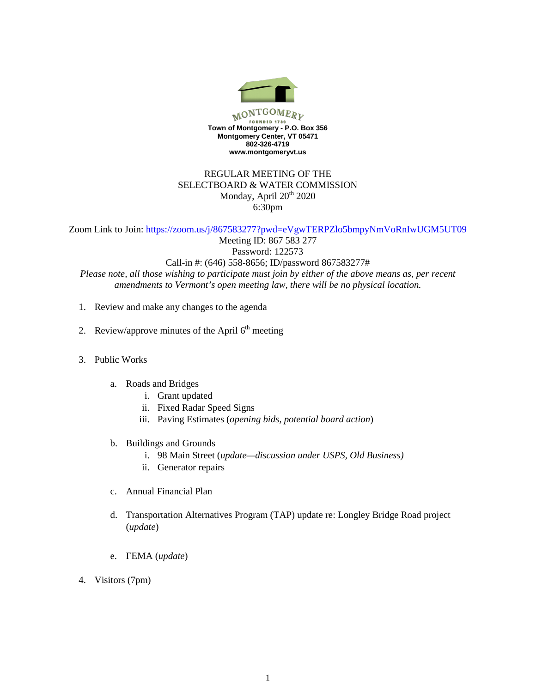

## REGULAR MEETING OF THE SELECTBOARD & WATER COMMISSION Monday, April  $20^{th}$  2020 6:30pm

Zoom Link to Join: <https://zoom.us/j/867583277?pwd=eVgwTERPZlo5bmpyNmVoRnIwUGM5UT09>

Meeting ID: 867 583 277 Password: 122573 Call-in #: (646) 558-8656; ID/password 867583277# *Please note, all those wishing to participate must join by either of the above means as, per recent amendments to Vermont's open meeting law, there will be no physical location.*

- 1. Review and make any changes to the agenda
- 2. Review/approve minutes of the April  $6<sup>th</sup>$  meeting
- 3. Public Works
	- a. Roads and Bridges
		- i. Grant updated
		- ii. Fixed Radar Speed Signs
		- iii. Paving Estimates (*opening bids, potential board action*)
	- b. Buildings and Grounds
		- i. 98 Main Street (*update—discussion under USPS, Old Business)*
		- ii. Generator repairs
	- c. Annual Financial Plan
	- d. Transportation Alternatives Program (TAP) update re: Longley Bridge Road project (*update*)
	- e. FEMA (*update*)
- 4. Visitors (7pm)